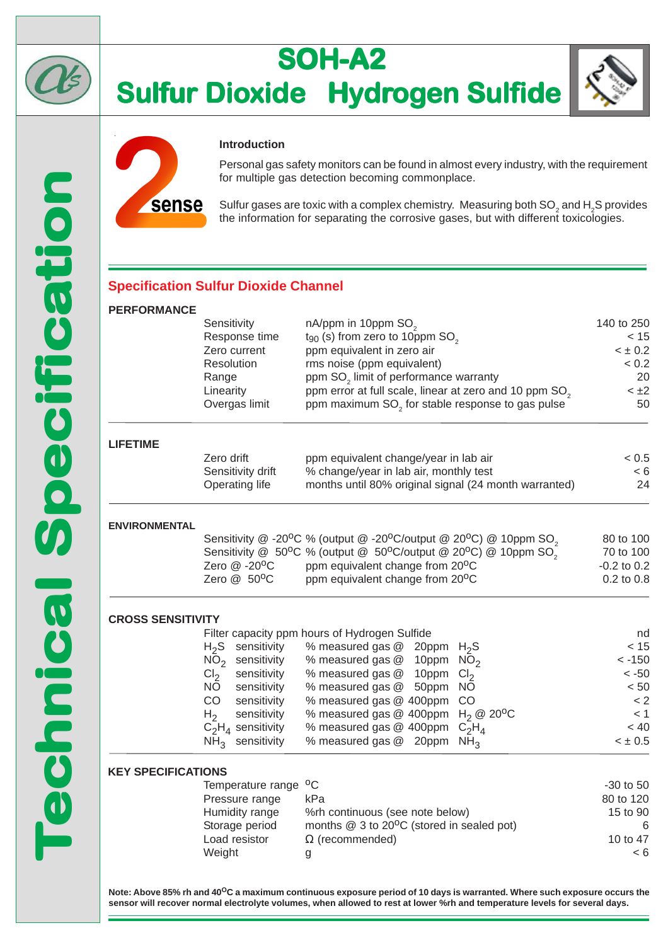

# **SOH-A2 Sulfur Dioxide Hydrogen Sulfide**





#### **Introduction**

Personal gas safety monitors can be found in almost every industry, with the requirement for multiple gas detection becoming commonplace.

Sulfur gases are toxic with a complex chemistry. Measuring both SO $_2$  and H $_2$ S provides the information for separating the corrosive gases, but with different toxicologies.

### **Specification Sulfur Dioxide Channel**

#### **PERFORMANCE**

| Sensitivity       | nA/ppm in 10ppm SO <sub>2</sub>                                    | 140 to 250  |
|-------------------|--------------------------------------------------------------------|-------------|
| Response time     | $t_{90}$ (s) from zero to 10ppm SO <sub>2</sub>                    | < 15        |
| Zero current      | ppm equivalent in zero air                                         | $< \pm 0.2$ |
| <b>Resolution</b> | rms noise (ppm equivalent)                                         | < 0.2       |
| Range             | ppm SO <sub>2</sub> limit of performance warranty                  | 20          |
| Linearity         | ppm error at full scale, linear at zero and 10 ppm SO <sub>2</sub> | $< \pm 2$   |
| Overgas limit     | ppm maximum SO <sub>2</sub> for stable response to gas pulse       | 50          |
|                   |                                                                    |             |
|                   |                                                                    |             |

#### **LIFETIME**

| Zero drift        | ppm equivalent change/year in lab air                 | < 0.5 |
|-------------------|-------------------------------------------------------|-------|
| Sensitivity drift | % change/year in lab air, monthly test                | < 6   |
| Operating life    | months until 80% original signal (24 month warranted) | 24    |

#### **ENVIRONMENTAL**

|                             | Sensitivity @ -20°C % (output @ -20°C/output @ 20°C) @ 10ppm SO <sub>2</sub><br>Sensitivity @ 50°C % (output @ 50°C/output @ 20°C) @ 10ppm SO <sub>2</sub> | 80 to 100<br>70 to 100 |
|-----------------------------|------------------------------------------------------------------------------------------------------------------------------------------------------------|------------------------|
| Zero $@ -20$ <sup>o</sup> C | ppm equivalent change from 20 <sup>o</sup> C                                                                                                               | $-0.2$ to 0.2          |
| Zero $@$ 50 <sup>o</sup> C  | ppm equivalent change from 20 <sup>o</sup> C                                                                                                               | $0.2$ to $0.8$         |

#### **CROSS SENSITIVITY**

| Filter capacity ppm hours of Hydrogen Sulfide |                |                      |                                                   |  | nd          |
|-----------------------------------------------|----------------|----------------------|---------------------------------------------------|--|-------------|
|                                               |                | $H_2S$ sensitivity   | % measured gas $@$ 20ppm $H_2S$                   |  | < 15        |
|                                               |                | $NO2$ sensitivity    | % measured gas $@$ 10ppm $NO2$                    |  | $< -150$    |
|                                               |                | $Cl2$ sensitivity    | % measured gas $@$ 10ppm $Cl2$                    |  | $< -50$     |
|                                               |                | NO sensitivity       | % measured gas @ 50ppm NO                         |  | < 50        |
|                                               | CO.            | sensitivity          | % measured gas @ 400ppm CO                        |  | < 2         |
|                                               | H <sub>2</sub> | sensitivity          | % measured gas @ 400ppm $H_2$ @ 20 <sup>o</sup> C |  | < 1         |
|                                               |                | $C_2H_4$ sensitivity | % measured gas @ 400ppm $C_2H_4$                  |  | ~< 40       |
|                                               |                | $NH3$ sensitivity    | % measured gas $@$ 20ppm NH <sub>3</sub>          |  | $< \pm 0.5$ |
|                                               |                |                      |                                                   |  |             |

#### **KEY SPECIFICATIONS**

| Temperature range <sup>o</sup> C |                                                          | $-30$ to 50 |
|----------------------------------|----------------------------------------------------------|-------------|
| Pressure range                   | kPa                                                      | 80 to 120   |
| Humidity range                   | %rh continuous (see note below)                          | 15 to 90    |
| Storage period                   | months $@$ 3 to 20 <sup>o</sup> C (stored in sealed pot) | 6           |
| Load resistor                    | $\Omega$ (recommended)                                   | 10 to 47    |
| Weight                           | g                                                        | < 6         |

**Note: Above 85% rh and 40OC a maximum continuous exposure period of 10 days is warranted. Where such exposure occurs the sensor will recover normal electrolyte volumes, when allowed to rest at lower %rh and temperature levels for several days.**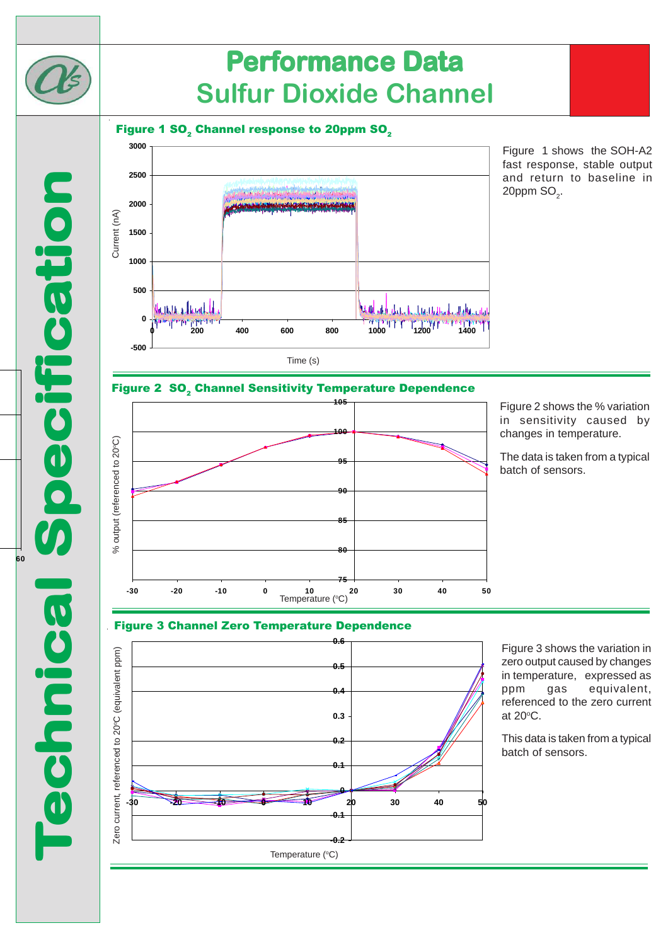

**Technical Specification**

**Technica** 

notification

**60**

# **Performance Data Sulfur Dioxide Channel**

Figure 1 SO $_{\textrm{\tiny{2}}}$  Channel response to 20ppm SO $_{\textrm{\tiny{2}}}$ 



Figure 1 shows the SOH-A2 fast response, stable output and return to baseline in 20ppm  $\mathsf{SO}_2$ .





Figure 2 shows the % variation in sensitivity caused by changes in temperature.

The data is taken from a typical batch of sensors.

# Figure 3 Channel Zero Temperature Dependence



Figure 3 shows the variation in zero output caused by changes in temperature, expressed as ppm gas equivalent, referenced to the zero current at  $20^{\circ}$ C.

This data is taken from a typical batch of sensors.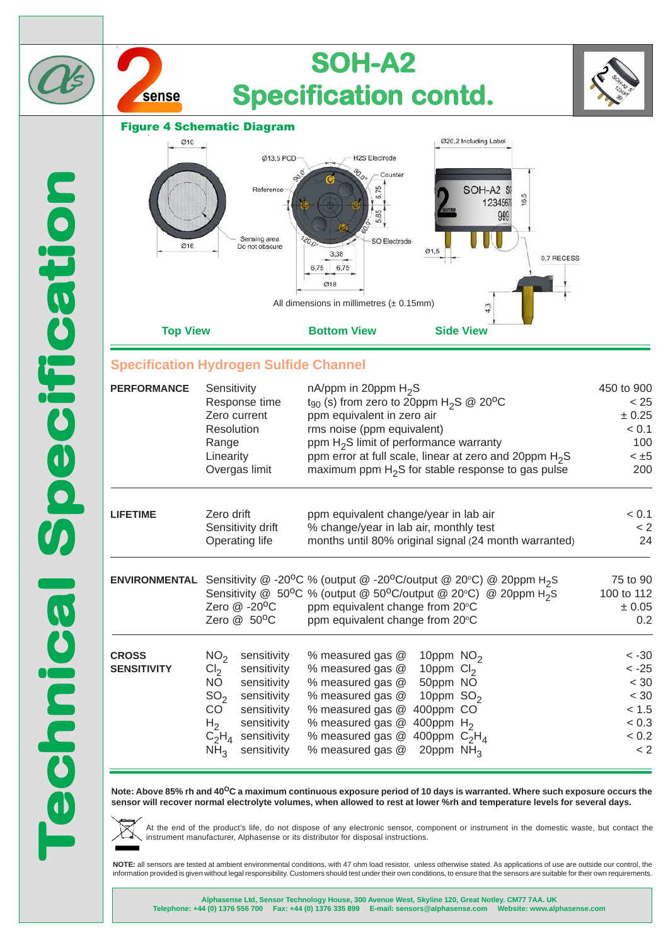

**sensor will recover normal electrolyte volumes, when allowed to rest at lower %rh and temperature levels for several days.**



At the end of the product's life, do not dispose of any electronic sensor, component or instrument in the domestic waste, but contact the instrument manufacturer, Alphasense or its distributor for disposal instructions.

**NOTE:** all sensors are tested at ambient environmental conditions, with 47 ohm load resistor, unless otherwise stated. As applications of use are outside our control, the information provided is given without legal responsibility. Customers should test under their own conditions, to ensure that the sensors are suitable for their own requirements.